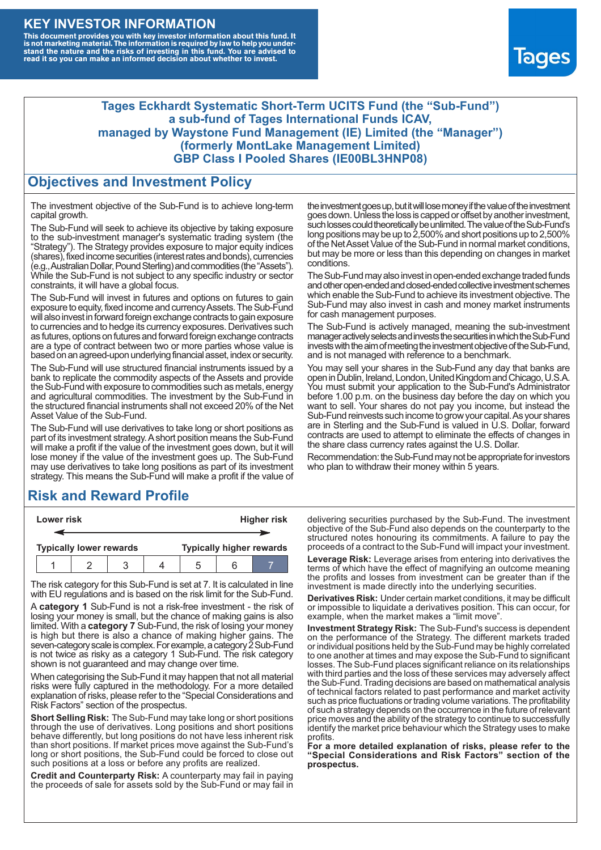#### **KEY INVESTOR INFORMATION**

This document provides you with key investor information about this fund. It<br>is not marketing material. The information is required by law to help you under-<br>stand the nature and the risks of investing in this fund. You ar



#### **Tages Eckhardt Systematic Short-Term UCITS Fund (the "Sub-Fund") a sub-fund of Tages International Funds ICAV, managed by Waystone Fund Management (IE) Limited (the "Manager") (formerly MontLake Management Limited) GBP Class I Pooled Shares (IE00BL3HNP08)**

#### **Objectives and Investment Policy**

The investment objective of the Sub-Fund is to achieve long-term capital growth.

The Sub-Fund will seek to achieve its objective by taking exposure to the sub-investment manager's systematic trading system (the "Strategy"). The Strategy provides exposure to major equity indices (shares),fixed income securities (interest rates and bonds), currencies (e.g.,AustralianDollar,PoundSterling)and commodities (the "Assets"). While the Sub-Fund is not subject to any specific industry or sector constraints, it will have a global focus.

The Sub-Fund will invest in futures and options on futures to gain exposure to equity, fixed income and currency Assets. The Sub-Fund will also invest in forward foreign exchange contracts to gain exposure to currencies and to hedge its currency exposures. Derivatives such as futures, options on futures and forward foreign exchange contracts are a type of contract between two or more parties whose value is based on an agreed-upon underlying financial asset, index or security.

The Sub-Fund will use structured financial instruments issued by a bank to replicate the commodity aspects of the Assets and provide the Sub-Fund with exposure to commodities such as metals, energy and agricultural commodities. The investment by the Sub-Fund in the structured financial instruments shall not exceed 20% of the Net Asset Value of the Sub-Fund.

The Sub-Fund will use derivatives to take long or short positions as part of its investment strategy.A short position means the Sub-Fund will make a profit if the value of the investment goes down, but it will lose money if the value of the investment goes up. The Sub-Fund may use derivatives to take long positions as part of its investment strategy. This means the Sub-Fund will make a profit if the value of

## **Risk and Reward Profile**

|  | Lower risk |                                |  |  | <b>Higher risk</b> |  |                                 |
|--|------------|--------------------------------|--|--|--------------------|--|---------------------------------|
|  |            |                                |  |  |                    |  |                                 |
|  |            | <b>Typically lower rewards</b> |  |  |                    |  | <b>Typically higher rewards</b> |
|  |            |                                |  |  | :h                 |  |                                 |

The risk category for this Sub-Fund is set at 7. It is calculated in line with EU regulations and is based on the risk limit for the Sub-Fund.

A **category 1** Sub-Fund is not a risk-free investment - the risk of losing your money is small, but the chance of making gains is also limited. With a **category 7** Sub-Fund, the risk of losing your money is high but there is also a chance of making higher gains. The seven-category scale is complex. For example, a category 2 Sub-Fund is not twice as risky as a category 1 Sub-Fund. The risk category shown is not guaranteed and may change over time.

When categorising the Sub-Fund it may happen that not all material risks were fully captured in the methodology. For a more detailed explanation of risks, please refer to the "Special Considerations and Risk Factors" section of the prospectus.

**Short Selling Risk:** The Sub-Fund may take long or short positions through the use of derivatives. Long positions and short positions behave differently, but long positions do not have less inherent risk than short positions. If market prices move against the Sub-Fund's long or short positions, the Sub-Fund could be forced to close out such positions at a loss or before any profits are realized.

**Credit and Counterparty Risk:** A counterparty may fail in paying the proceeds of sale for assets sold by the Sub-Fund or may fail in the investment goes up, but it will lose money if the value of the investment goes down. Unlessthe loss is capped or offset by another investment, such losses could theoretically be unlimited. The value of the Sub-Fund's long positions may be up to  $2,500\%$  and short positions up to  $2,500\%$ of the NetAsset Value of the Sub-Fund in normal market conditions, but may be more or less than this depending on changes in market conditions.

The Sub-Fund may also invest in open-ended exchange traded funds and other open-ended and closed-ended collective investment schemes which enable the Sub-Fund to achieve its investment objective. The Sub-Fund may also invest in cash and money market instruments for cash management purposes.

The Sub-Fund is actively managed, meaning the sub-investment manager actively selects and invests the securities in which the Sub-Fund invests with the aim of meeting the investment objective of the Sub-Fund, and is not managed with reference to a benchmark.

You may sell your shares in the Sub-Fund any day that banks are open in Dublin, Ireland, London, United Kingdom and Chicago, U.S.A. You must submit your application to the Sub-Fund's Administrator before 1.00 p.m. on the business day before the day on which you want to sell. Your shares do not pay you income, but instead the Sub-Fund reinvests such income to grow your capital. As your shares are in Sterling and the Sub-Fund is valued in U.S. Dollar, forward contracts are used to attempt to eliminate the effects of changes in the share class currency rates against the U.S. Dollar.

Recommendation: the Sub-Fund may not be appropriate for investors who plan to withdraw their money within 5 years.

delivering securities purchased by the Sub-Fund. The investment objective of the Sub-Fund also depends on the counterparty to the structured notes honouring its commitments. A failure to pay the proceeds of a contract to the Sub-Fund will impact your investment.

**Leverage Risk:** Leverage arises from entering into derivatives the terms of which have the effect of magnifying an outcome meaning the profits and losses from investment can be greater than if the investment is made directly into the underlying securities.

**Derivatives Risk:** Under certain market conditions, it may be difficult or impossible to liquidate a derivatives position. This can occur, for example, when the market makes a "limit move".

**Investment Strategy Risk:** The Sub-Fund's success is dependent on the performance of the Strategy. The different markets traded or individual positions held by the Sub-Fund may be highly correlated to one another at times and may expose the Sub-Fund to significant losses. The Sub-Fund places significant reliance on its relationships with third parties and the loss of these services may adversely affect the Sub-Fund. Trading decisions are based on mathematical analysis of technical factors related to past performance and market activity such as price fluctuations or trading volume variations. The profitability of such a strategy depends on the occurrence in the future of relevant price moves and the ability of the strategy to continue to successfully identify the market price behaviour which the Strategy uses to make profits.

**For a more detailed explanation of risks, please refer to the "Special Considerations and Risk Factors" section of the prospectus.**